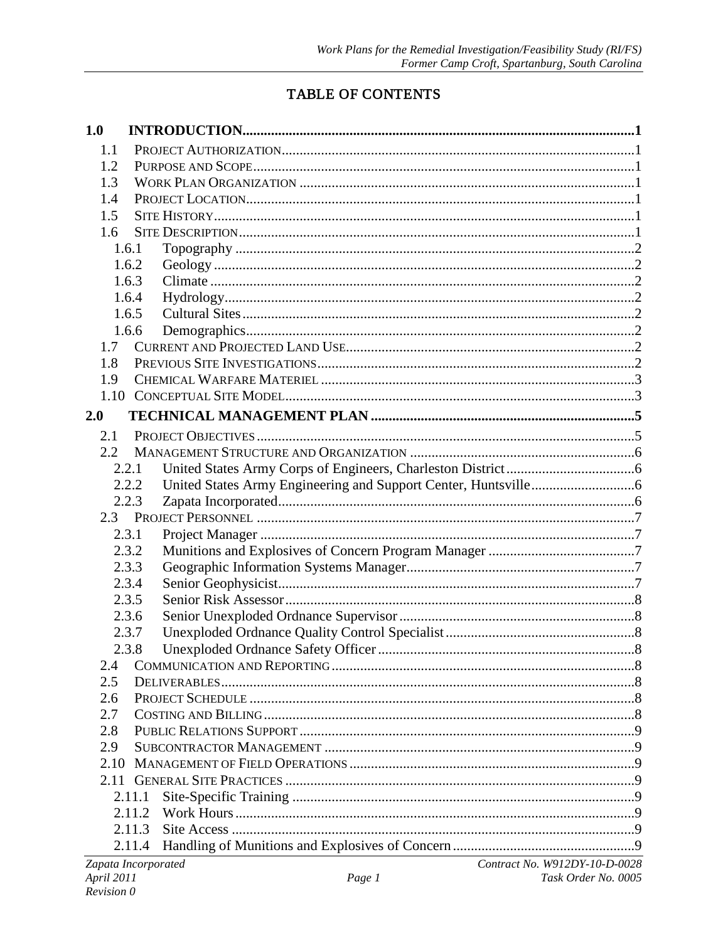## TABLE OF CONTENTS

| 1.0                 |        |                               |
|---------------------|--------|-------------------------------|
| 1.1                 |        |                               |
| 1.2                 |        |                               |
| 1.3                 |        |                               |
| 1.4                 |        |                               |
| 1.5                 |        |                               |
| 1.6                 |        |                               |
|                     | 1.6.1  |                               |
|                     | 1.6.2  |                               |
|                     | 1.6.3  |                               |
|                     | 1.6.4  |                               |
|                     | 1.6.5  |                               |
|                     | 1.6.6  |                               |
| 1.7                 |        |                               |
| 1.8                 |        |                               |
| 1.9                 |        |                               |
|                     |        |                               |
| 2.0                 |        |                               |
| 2.1                 |        |                               |
| 2.2                 |        |                               |
|                     | 2.2.1  |                               |
|                     | 2.2.2  |                               |
|                     | 2.2.3  |                               |
|                     |        |                               |
|                     | 2.3.1  |                               |
|                     | 2.3.2  |                               |
|                     | 2.3.3  |                               |
|                     | 2.3.4  |                               |
|                     | 2.3.5  |                               |
|                     | 2.3.6  |                               |
|                     | 2.3.7  |                               |
|                     | 2.3.8  |                               |
| 2.4                 |        |                               |
| 2.5                 |        |                               |
| 2.6<br>2.7          |        |                               |
| 2.8                 |        |                               |
| 2.9                 |        |                               |
| 2.10                |        |                               |
|                     |        |                               |
|                     | 2.11.1 |                               |
|                     | 2.11.2 |                               |
|                     | 2.11.3 |                               |
|                     | 2.11.4 |                               |
| Zapata Incorporated |        | Contract No. W912DY-10-D-0028 |
| April 2011          |        | Task Order No. 0005<br>Page 1 |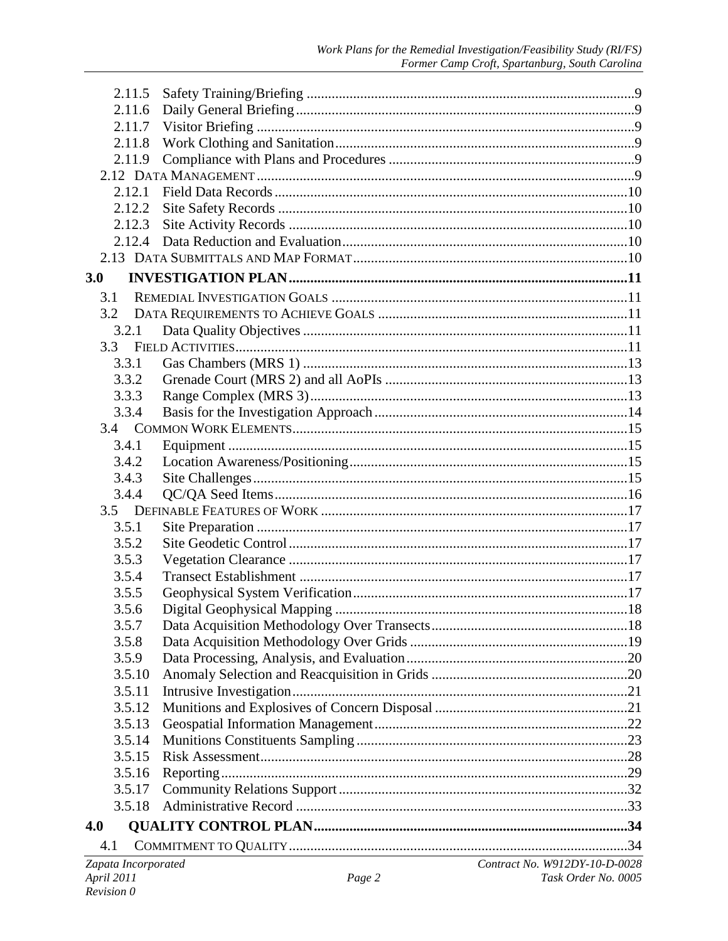| 2.11.5                            |                |                                                      |
|-----------------------------------|----------------|------------------------------------------------------|
| 2.11.6                            |                |                                                      |
| 2.11.7                            |                |                                                      |
| 2.11.8                            |                |                                                      |
| 2.11.9                            |                |                                                      |
|                                   |                |                                                      |
| 2.12.1                            |                |                                                      |
| 2.12.2                            |                |                                                      |
| 2.12.3                            |                |                                                      |
| 2.12.4                            |                |                                                      |
|                                   |                |                                                      |
| 3.0                               |                |                                                      |
| 3.1                               |                |                                                      |
| 3.2                               |                |                                                      |
| 3.2.1                             |                |                                                      |
| 3.3                               |                |                                                      |
| 3.3.1                             |                |                                                      |
| 3.3.2                             |                |                                                      |
| 3.3.3                             |                |                                                      |
| 3.3.4                             |                |                                                      |
|                                   |                |                                                      |
| 3.4.1                             |                |                                                      |
| 3.4.2                             |                |                                                      |
| 3.4.3                             |                |                                                      |
| 3.4.4                             |                |                                                      |
|                                   |                |                                                      |
| 3.5.1                             |                |                                                      |
| 3.5.2                             |                |                                                      |
| 3.5.3                             |                |                                                      |
| 3.5.4                             |                |                                                      |
| 3.5.5                             |                |                                                      |
| 3.5.6                             |                |                                                      |
| 3.5.7                             |                |                                                      |
|                                   |                |                                                      |
| 3.5.8                             |                |                                                      |
| 3.5.9                             |                |                                                      |
| 3.5.10                            |                |                                                      |
| 3.5.11                            |                |                                                      |
| 3.5.12                            |                |                                                      |
| 3.5.13                            |                |                                                      |
| 3.5.14                            |                |                                                      |
| 3.5.15                            |                |                                                      |
| 3.5.16                            |                |                                                      |
| 3.5.17                            |                |                                                      |
| 3.5.18                            |                |                                                      |
| 4.0                               |                |                                                      |
| 4.1                               |                |                                                      |
| Zapata Incorporated<br>April 2011 | $P_{\theta}$ 2 | Contract No. W912DY-10-D-0028<br>Task Order No. 0005 |
|                                   |                |                                                      |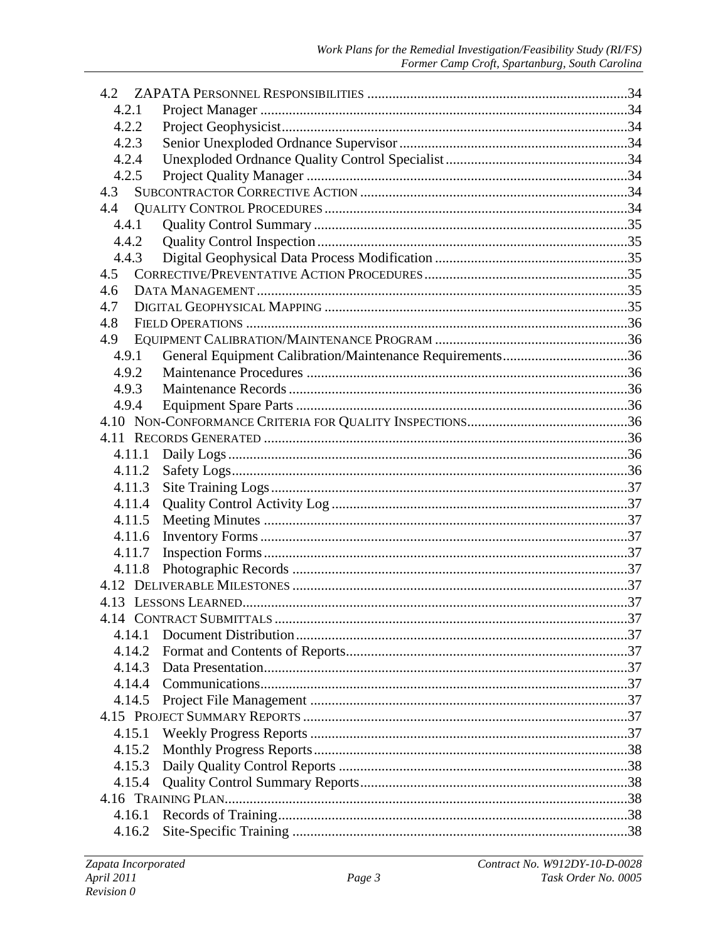| 4.2    |  |
|--------|--|
| 4.2.1  |  |
| 4.2.2  |  |
| 4.2.3  |  |
| 4.2.4  |  |
| 4.2.5  |  |
| 4.3    |  |
|        |  |
| 4.4.1  |  |
| 4.4.2  |  |
| 4.4.3  |  |
| 4.5    |  |
| 4.6    |  |
| 4.7    |  |
| 4.8    |  |
| 4.9    |  |
| 4.9.1  |  |
| 4.9.2  |  |
| 4.9.3  |  |
| 4.9.4  |  |
|        |  |
|        |  |
| 4.11.1 |  |
| 4.11.2 |  |
| 4.11.3 |  |
| 4.11.4 |  |
| 4.11.5 |  |
| 4.11.6 |  |
| 4.11.7 |  |
| 4.11.8 |  |
|        |  |
|        |  |
|        |  |
| 4.14.1 |  |
| 4.14.2 |  |
| 4.14.3 |  |
| 4.14.4 |  |
| 4.14.5 |  |
|        |  |
| 4.15.1 |  |
| 4.15.2 |  |
| 4.15.3 |  |
| 4.15.4 |  |
|        |  |
| 4.16.1 |  |
| 4.16.2 |  |
|        |  |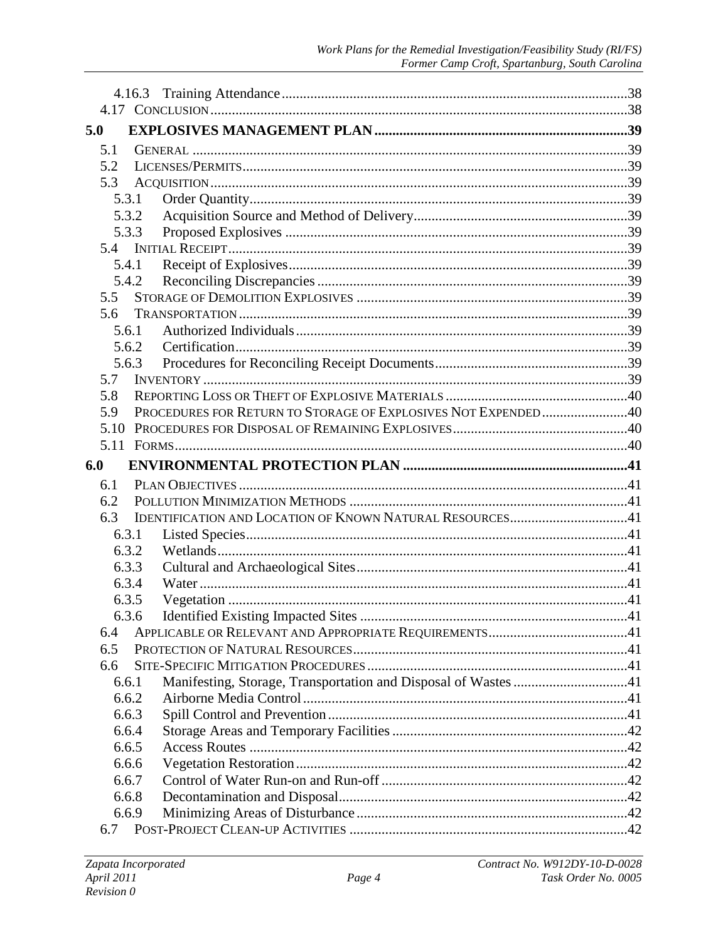| 5.0  |                |                                                                |  |
|------|----------------|----------------------------------------------------------------|--|
| 5.1  |                |                                                                |  |
| 5.2  |                |                                                                |  |
| 5.3  |                |                                                                |  |
|      | 5.3.1          |                                                                |  |
|      | 5.3.2          |                                                                |  |
|      | 5.3.3          |                                                                |  |
| 5.4  |                |                                                                |  |
|      | 5.4.1          |                                                                |  |
|      | 5.4.2          |                                                                |  |
| 5.5  |                |                                                                |  |
| 5.6  |                |                                                                |  |
|      | 5.6.1          |                                                                |  |
|      | 5.6.2          |                                                                |  |
|      | 5.6.3          |                                                                |  |
| 5.7  |                |                                                                |  |
| 5.8  |                |                                                                |  |
| 5.9  |                | PROCEDURES FOR RETURN TO STORAGE OF EXPLOSIVES NOT EXPENDED40  |  |
| 5.10 |                |                                                                |  |
|      |                |                                                                |  |
| 6.0  |                |                                                                |  |
| 6.1  |                |                                                                |  |
| 6.2  |                |                                                                |  |
| 6.3  |                | IDENTIFICATION AND LOCATION OF KNOWN NATURAL RESOURCES41       |  |
|      | 6.3.1          |                                                                |  |
|      | 6.3.2          |                                                                |  |
|      | 6.3.3          |                                                                |  |
|      | 6.3.4          |                                                                |  |
|      | 6.3.5          |                                                                |  |
|      | 6.3.6          |                                                                |  |
| 6.4  |                |                                                                |  |
| 6.5  |                |                                                                |  |
| 6.6  |                |                                                                |  |
|      | 6.6.1          | Manifesting, Storage, Transportation and Disposal of Wastes 41 |  |
|      | 6.6.2<br>6.6.3 |                                                                |  |
|      | 6.6.4          |                                                                |  |
|      | 6.6.5          |                                                                |  |
|      | 6.6.6          |                                                                |  |
|      | 6.6.7          |                                                                |  |
|      | 6.6.8          |                                                                |  |
|      | 6.6.9          |                                                                |  |
| 6.7  |                |                                                                |  |
|      |                |                                                                |  |